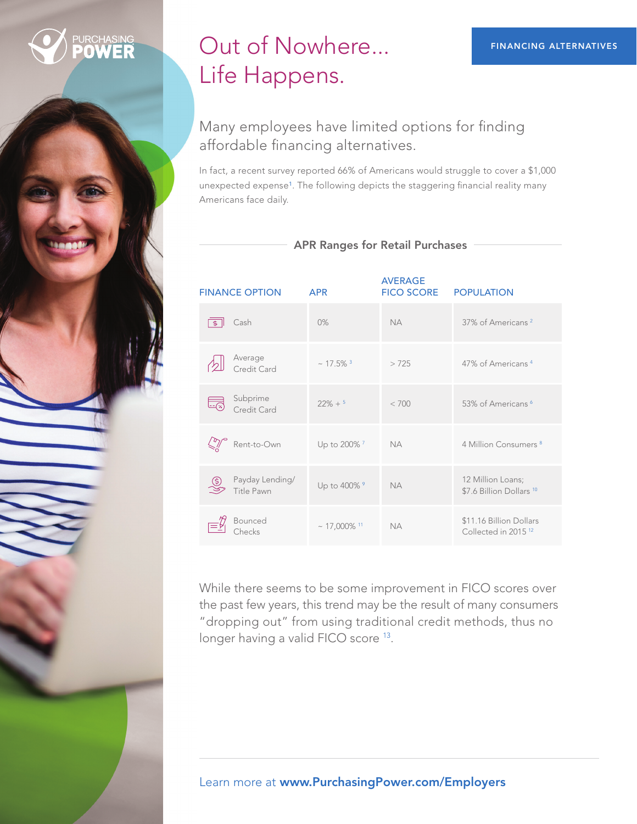# Out of Nowhere... Life Happens.

### Many employees have limited options for finding affordable financing alternatives.

In fact, a recent survey reported 66% of Americans would struggle to cover a \$1,000 unexpected expense<sup>1</sup>. The following depicts the staggering financial reality many Americans face daily.

| <b>FINANCE OPTION</b>              | <b>APR</b>                   | <b>AVERAGE</b><br><b>FICO SCORE</b> | <b>POPULATION</b>                                          |
|------------------------------------|------------------------------|-------------------------------------|------------------------------------------------------------|
| Cash<br>$\mathbf{\hat{z}}$         | 0%                           | <b>NA</b>                           | 37% of Americans <sup>2</sup>                              |
| Average<br>Credit Card             | $\sim$ 17.5% $^3$            | >725                                | 47% of Americans <sup>4</sup>                              |
| Subprime<br>Credit Card            | $22\% + 5$                   | < 700                               | 53% of Americans <sup>6</sup>                              |
| Rent-to-Own                        | Up to 200% <sup>7</sup>      | <b>NA</b>                           | 4 Million Consumers <sup>8</sup>                           |
| Payday Lending/<br>હ<br>Title Pawn | Up to 400% 9                 | <b>NA</b>                           | 12 Million Loans;<br>\$7.6 Billion Dollars <sup>10</sup>   |
| <b>Bounced</b>                     | $\sim$ 17,000% <sup>11</sup> | <b>NA</b>                           | \$11.16 Billion Dollars<br>Collected in 2015 <sup>12</sup> |

### APR Ranges for Retail Purchases

While there seems to be some improvement in FICO scores over the past few years, this trend may be the result of many consumers "dropping out" from using traditional credit methods, thus no longer having a valid FICO score 13.